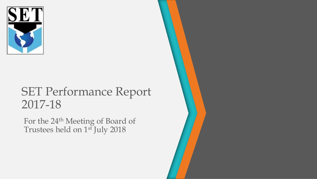

# SET Performance Report 2017-18

For the 24<sup>th</sup> Meeting of Board of Trustees held on 1<sup>st</sup> July 2018

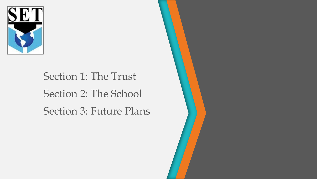

# Section 1: The Trust Section 2: The School Section 3: Future Plans

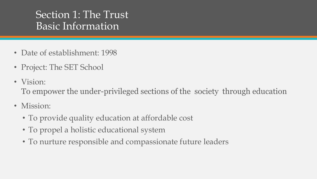# Section 1: The Trust Basic Information

- Date of establishment: 1998
- Project: The SET School
- Vision: To empower the under-privileged sections of the society through education
- Mission:
	- To provide quality education at affordable cost
	- To propel a holistic educational system
	- To nurture responsible and compassionate future leaders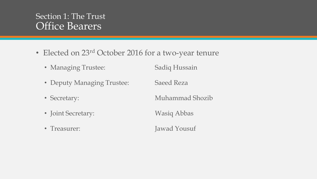#### Section 1: The Trust Office Bearers

- Elected on 23<sup>rd</sup> October 2016 for a two-year tenure
	- Managing Trustee: Sadiq Hussain
	- Deputy Managing Trustee: Saeed Reza
	-
	- Joint Secretary: Wasiq Abbas
	-

• Secretary: Muhammad Shozib

• Treasurer: Jawad Yousuf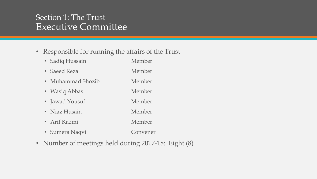#### Section 1: The Trust Executive Committee

#### • Responsible for running the affairs of the Trust

- Sadiq Hussain Member
- Saeed Reza Member
- Muhammad Shozib Member
- Wasiq Abbas Member
- Jawad Yousuf Member
- Niaz Husain Member
- Arif Kazmi Member
- Sumera Naqvi Convener
- Number of meetings held during 2017-18: Eight (8)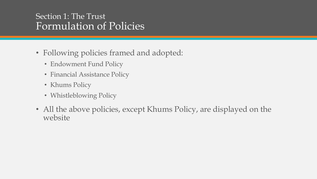#### Section 1: The Trust Formulation of Policies

- Following policies framed and adopted:
	- Endowment Fund Policy
	- Financial Assistance Policy
	- Khums Policy
	- Whistleblowing Policy
- All the above policies, except Khums Policy, are displayed on the website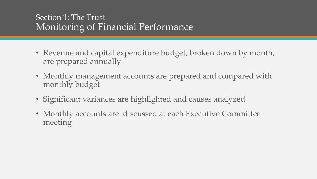#### Section 1: The Trust Monitoring of Financial Performance

- Revenue and capital expenditure budget, broken down by month, are prepared annually
- Monthly management accounts are prepared and compared with monthly budget
- Significant variances are highlighted and causes analyzed
- Monthly accounts are discussed at each Executive Committee meeting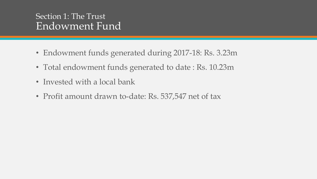#### Section 1: The Trust Endowment Fund

- Endowment funds generated during 2017-18: Rs. 3.23m
- Total endowment funds generated to date : Rs. 10.23m
- Invested with a local bank
- Profit amount drawn to-date: Rs. 537,547 net of tax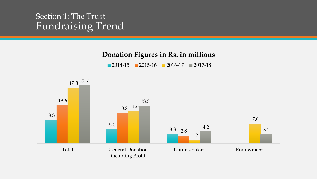#### Section 1: The Trust Fundraising Trend

#### **Donation Figures in Rs. in millions**

2014-15 2015-16 2016-17 2017-18

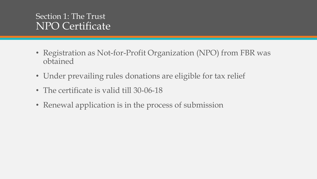#### Section 1: The Trust NPO Certificate

- Registration as Not-for-Profit Organization (NPO) from FBR was obtained
- Under prevailing rules donations are eligible for tax relief
- The certificate is valid till 30-06-18
- Renewal application is in the process of submission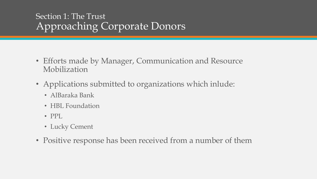### Section 1: The Trust Approaching Corporate Donors

- Efforts made by Manager, Communication and Resource Mobilization
- Applications submitted to organizations which inlude:
	- AlBaraka Bank
	- HBL Foundation
	- PPL
	- Lucky Cement
- Positive response has been received from a number of them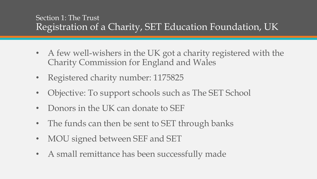#### Section 1: The Trust Registration of a Charity, SET Education Foundation, UK

- A few well-wishers in the UK got a charity registered with the Charity Commission for England and Wales
- Registered charity number: 1175825
- Objective: To support schools such as The SET School
- Donors in the UK can donate to SEF
- The funds can then be sent to SET through banks
- MOU signed between SEF and SET
- A small remittance has been successfully made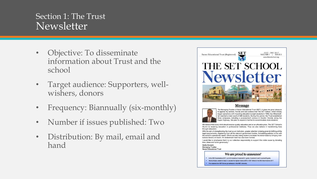#### Section 1: The Trust Newsletter

- Objective: To disseminate information about Trust and the school
- Target audience: Supporters, wellwishers, donors
- Frequency: Biannually (six-monthly)
- Number if issues published: Two
- Distribution: By mail, email and hand



#### Message



"As Managing Trustee of Saran Educational Trust (SET), it gives me great pleasure to apprise my seniors, friends and well-wishers that The SET School, which initially began operations with imparting education to eight students in 1998, has Alhamdulilah reached a total count of 690 students. During this period, the Trust established three campuses, including a purpose-built campus in Gwalior Society along the Super Highway. We plan to expand it further to accommodate more students.

We believe that every child should receive quality education and at an afforable price. The SET School's Alumni is receiving education in professional institutes. Thus we also believe in transforming lives through education.

With the aim of strengthening the trust as an institution, greater attention is being given to fulfilling all the legal requirements, registering from all the relevant government bodies, formulating policies in line with the school's operational needs. Efforts are also being made to increase the donor-base by bringing institutional donors on board. An endowment fund has also been formed.

I would like to emphasize that it is our collective responsibility to support this noble cause by donating time, ideas and funds generously.

Sadig Hussair **Managing Trustee Saran Educational Trust** 

We are proud to announce!

In the SSC Examinations 2017, out of 24 students, 9 received A-1 grade, 6 received A and 5 received B grade.

- " Humna Hasan, student of class X, secured the highest marks ie 90% in SET School in the SSC Examinations 2017.
- " Five students from SET School got admission in the NED University.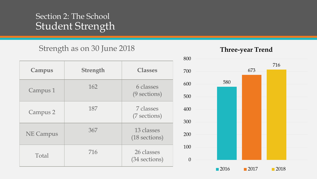#### Section 2: The School Student Strength

#### Strength as on 30 June 2018

| Campus           | <b>Strength</b> | <b>Classes</b>              |
|------------------|-----------------|-----------------------------|
| Campus 1         | 162             | 6 classes<br>(9 sections)   |
| Campus 2         | 187             | 7 classes<br>(7 sections)   |
| <b>NE Campus</b> | 367             | 13 classes<br>(18 sections) |
| Total            | 716             | 26 classes<br>(34 sections) |

#### **Three-year Trend**

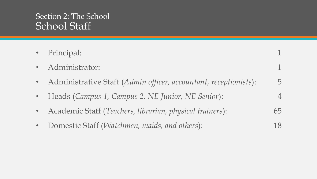#### Section 2: The School School Staff

| • Principal:                                                     |    |
|------------------------------------------------------------------|----|
| · Administrator:                                                 |    |
| Administrative Staff (Admin officer, accountant, receptionists): | 5  |
| • Heads (Campus 1, Campus 2, NE Junior, NE Senior):              |    |
| Academic Staff (Teachers, librarian, physical trainers):         | 65 |
| Domestic Staff (Watchmen, maids, and others):                    | 18 |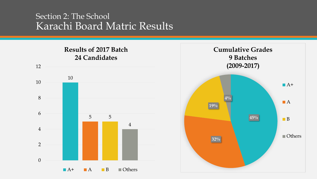#### Section 2: The School Karachi Board Matric Results



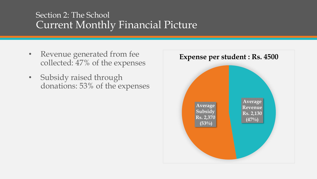### Section 2: The School Current Monthly Financial Picture

- **Expense per student : Rs. 4500 Expense per student : Rs. 4500** collected: 47% of the expenses
- Subsidy raised through donations: 53% of the expenses

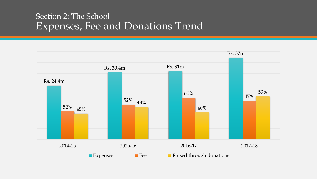#### Section 2: The School Expenses, Fee and Donations Trend

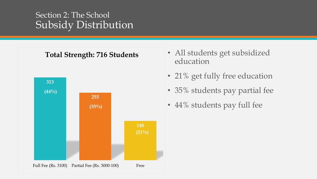#### Section 2: The School Subsidy Distribution



- education
- 21% get fully free education
- 35% students pay partial fee
- 44% students pay full fee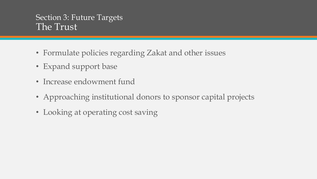#### Section 3: Future Targets The Trust

- Formulate policies regarding Zakat and other issues
- Expand support base
- Increase endowment fund
- Approaching institutional donors to sponsor capital projects
- Looking at operating cost saving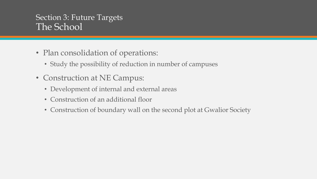#### Section 3: Future Targets The School

- Plan consolidation of operations:
	- Study the possibility of reduction in number of campuses
- Construction at NE Campus:
	- Development of internal and external areas
	- Construction of an additional floor
	- Construction of boundary wall on the second plot at Gwalior Society